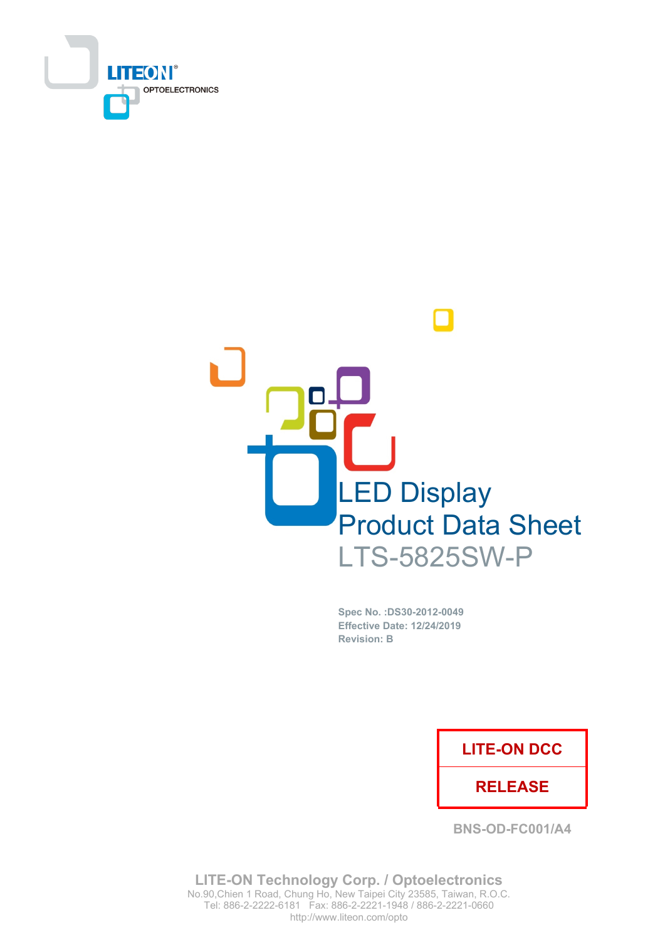



Spec No. : DS30-2012-0049 **Effective Date: 12/24/2019 Revision: B** 

### **LITE-ON DCC**

### **RELEASE**

**BNS-OD-FC001/A4** 

**LITE-ON Technology Corp. / Optoelectronics** No.90, Chien 1 Road, Chung Ho, New Taipei City 23585, Taiwan, R.O.C. Tel: 886-2-2222-6181 Fax: 886-2-2221-1948 / 886-2-2221-0660 http://www.liteon.com/opto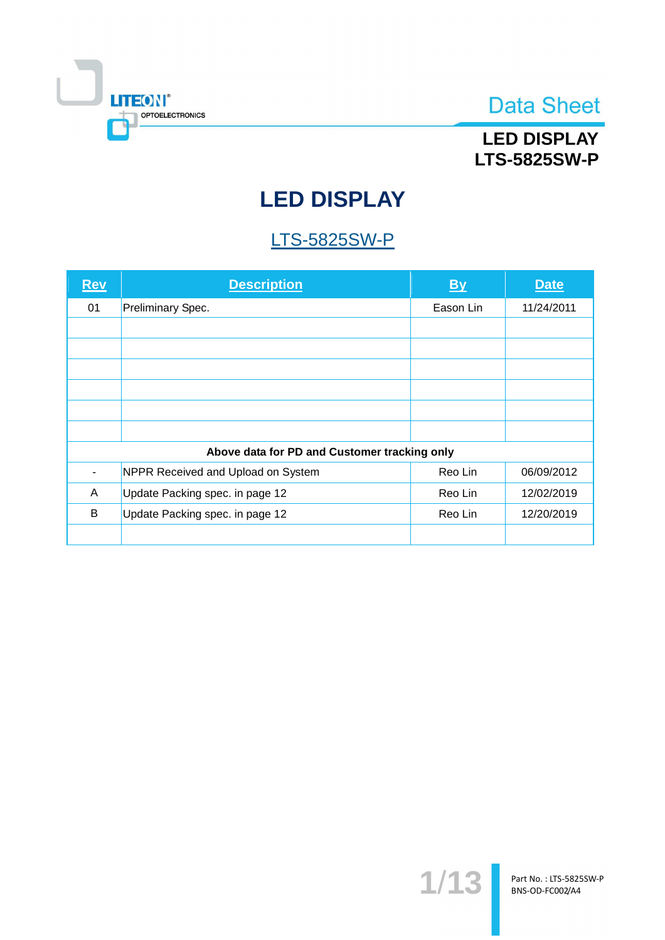

## **LED DISPLAY LTS-5825SW-P**

# **LED DISPLAY**

# **LTS-5825SW-P**

| <b>Rev</b> | <b>Description</b>                           | <b>By</b> | <b>Date</b> |
|------------|----------------------------------------------|-----------|-------------|
| 01         | Preliminary Spec.                            | Eason Lin | 11/24/2011  |
|            |                                              |           |             |
|            |                                              |           |             |
|            |                                              |           |             |
|            |                                              |           |             |
|            |                                              |           |             |
|            |                                              |           |             |
|            | Above data for PD and Customer tracking only |           |             |
|            | NPPR Received and Upload on System           | Reo Lin   | 06/09/2012  |
| A          | Update Packing spec. in page 12              | Reo Lin   | 12/02/2019  |
| B          | Update Packing spec. in page 12              | Reo Lin   | 12/20/2019  |
|            |                                              |           |             |

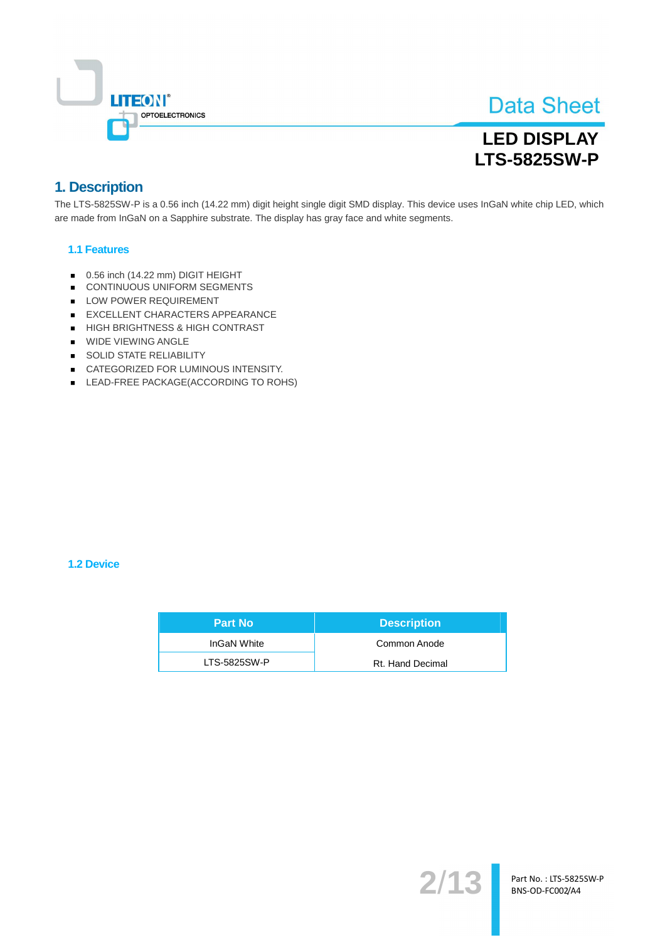

## **LED DISPLAY LTS-5825SW-P**

### 1. Description

The LTS-5825SW-P is a 0.56 inch (14.22 mm) digit height single digit SMD display. This device uses InGaN white chip LED, which are made from InGaN on a Sapphire substrate. The display has gray face and white segments.

#### **1.1 Features**

- 0.56 inch (14.22 mm) DIGIT HEIGHT
- CONTINUOUS UNIFORM SEGMENTS
- LOW POWER REQUIREMENT
- EXCELLENT CHARACTERS APPEARANCE
- HIGH BRIGHTNESS & HIGH CONTRAST
- **WIDE VIEWING ANGLE**
- SOLID STATE RELIABILITY
- CATEGORIZED FOR LUMINOUS INTENSITY.
- LEAD-FREE PACKAGE(ACCORDING TO ROHS)

#### **1.2 Device**

| <b>Part No</b> | <b>Description</b> |
|----------------|--------------------|
| InGaN White    | Common Anode       |
| LTS-5825SW-P   | Rt. Hand Decimal   |

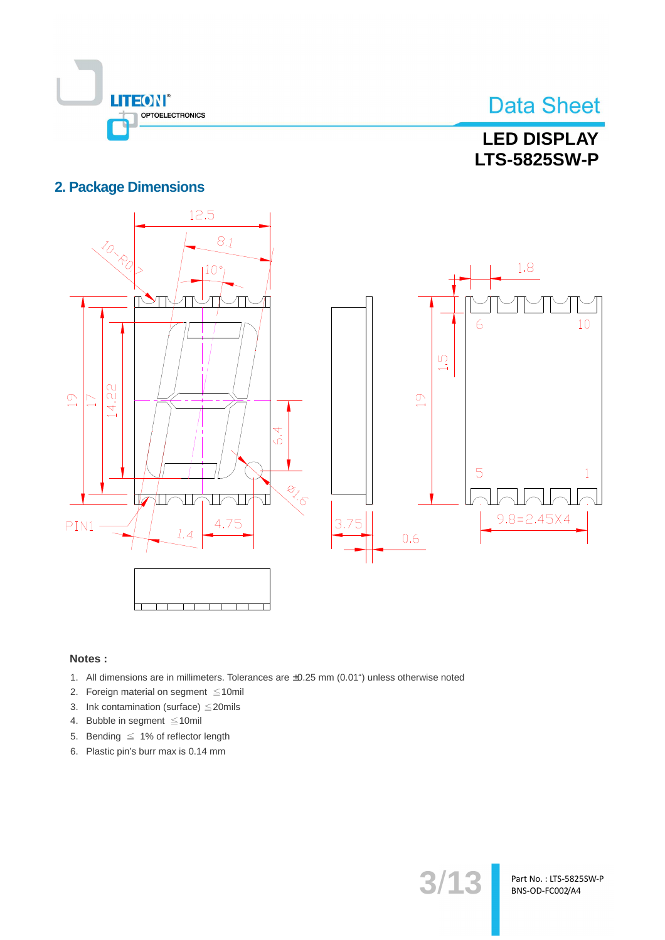

## **LED DISPLAY LTS-5825SW-P**

### **2. Package Dimensions**



 $3/1.$ 

Part No.: LTS-5825SW-P BNS-OD-FC002/A4

#### Notes:

- 1. All dimensions are in millimeters. Tolerances are ±0.25 mm (0.01") unless otherwise noted
- 2. Foreign material on segment  $\leq 10$ mil
- 3. Ink contamination (surface)  $\leq$  20mils
- 4. Bubble in segment ≤10mil
- 5. Bending  $\leq 1\%$  of reflector length
- 6. Plastic pin's burr max is 0.14 mm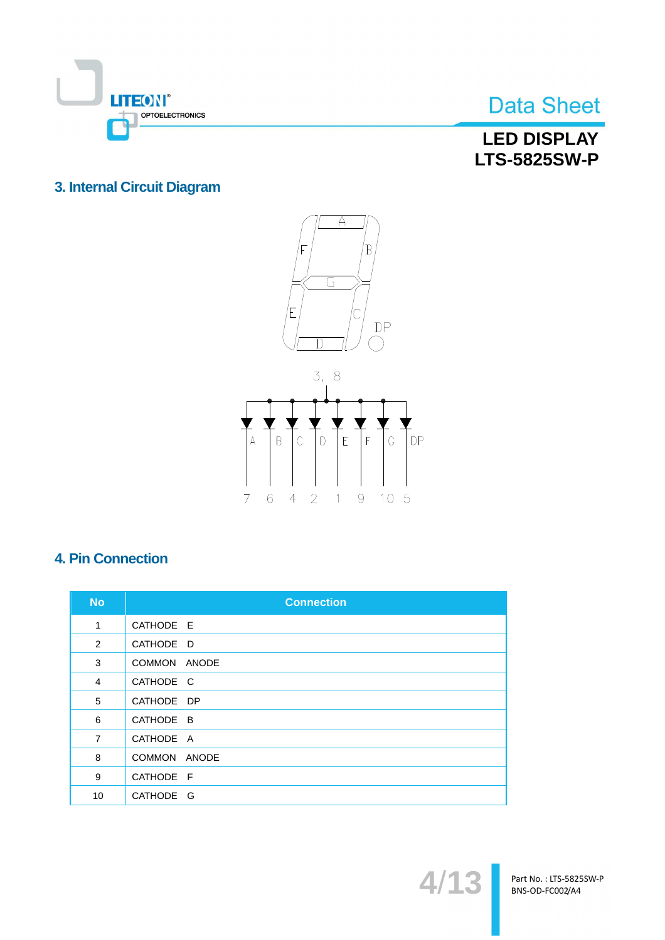

### **LED DISPLAY LTS-5825SW-P**

### 3. Internal Circuit Diagram





### **4. Pin Connection**

| <b>No</b>      | <b>Connection</b> |
|----------------|-------------------|
| 1              | CATHODE E         |
| 2              | CATHODE D         |
| 3              | COMMON ANODE      |
| 4              | CATHODE C         |
| 5              | CATHODE DP        |
| 6              | CATHODE B         |
| $\overline{7}$ | CATHODE A         |
| 8              | COMMON ANODE      |
| 9              | CATHODE F         |
| 10             | CATHODE G         |

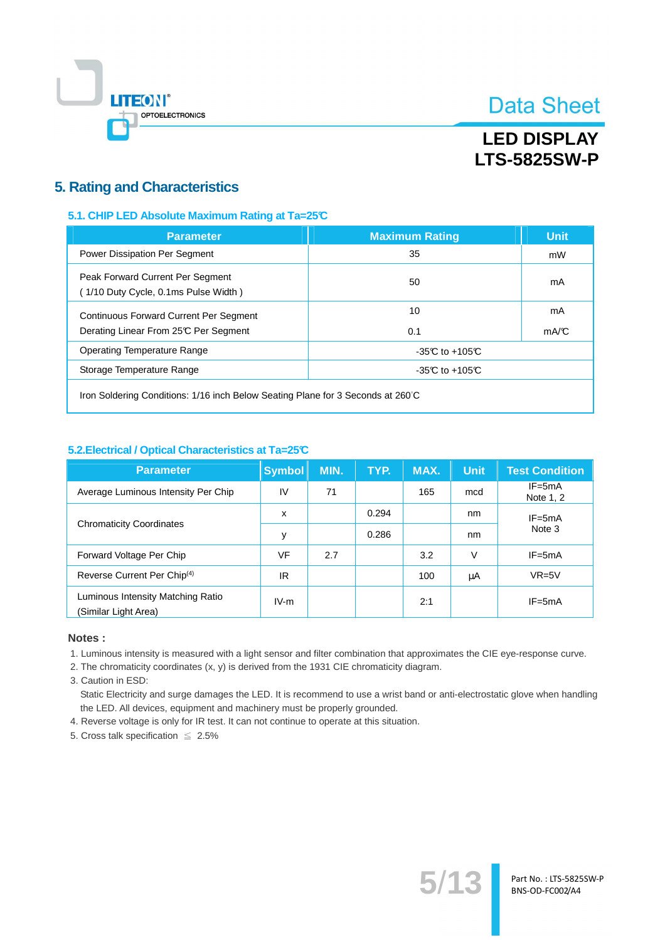

### **LED DISPLAY LTS-5825SW-P**

### **5. Rating and Characteristics**

#### 5.1. CHIP LED Absolute Maximum Rating at Ta=25°C

| <b>Parameter</b>                                                                       | <b>Maximum Rating</b> | <b>Unit</b> |
|----------------------------------------------------------------------------------------|-----------------------|-------------|
| Power Dissipation Per Segment                                                          | 35                    | mW          |
| Peak Forward Current Per Segment<br>(1/10 Duty Cycle, 0.1ms Pulse Width)               | 50                    | mA          |
| <b>Continuous Forward Current Per Segment</b><br>Derating Linear From 25°C Per Segment | 10<br>0.1             | mA<br>mA/C  |
| Operating Temperature Range                                                            | $-35C$ to $+105C$     |             |
| Storage Temperature Range                                                              | $-35C$ to $+105C$     |             |
|                                                                                        |                       |             |

Iron Soldering Conditions: 1/16 inch Below Seating Plane for 3 Seconds at 260°C

#### 5.2. Electrical / Optical Characteristics at Ta=25°C

| <b>Parameter</b>                                          | <b>Symbol</b> | MIN. | TYP.  | MAX. | <b>Unit</b> | <b>Test Condition</b>   |
|-----------------------------------------------------------|---------------|------|-------|------|-------------|-------------------------|
| Average Luminous Intensity Per Chip                       | IV            | 71   |       | 165  | mcd         | $IF = 5mA$<br>Note 1, 2 |
|                                                           | X             |      | 0.294 |      | nm          | $IF = 5mA$<br>Note 3    |
| <b>Chromaticity Coordinates</b>                           | y             |      | 0.286 |      | nm          |                         |
| Forward Voltage Per Chip                                  | VF            | 2.7  |       | 3.2  | V           | $IF = 5mA$              |
| Reverse Current Per Chip <sup>(4)</sup>                   | IR            |      |       | 100  | μA          | $VR=5V$                 |
| Luminous Intensity Matching Ratio<br>(Similar Light Area) | $IV-m$        |      |       | 2:1  |             | $IF = 5mA$              |

#### Notes:

1. Luminous intensity is measured with a light sensor and filter combination that approximates the CIE eye-response curve.

2. The chromaticity coordinates (x, y) is derived from the 1931 CIE chromaticity diagram.

3. Caution in ESD:

Static Electricity and surge damages the LED. It is recommend to use a wrist band or anti-electrostatic glove when handling the LED. All devices, equipment and machinery must be properly grounded.

 $5/1$ 

Part No.: LTS-5825SW-P BNS-OD-FC002/A4

4. Reverse voltage is only for IR test. It can not continue to operate at this situation.

5. Cross talk specification  $\leq 2.5\%$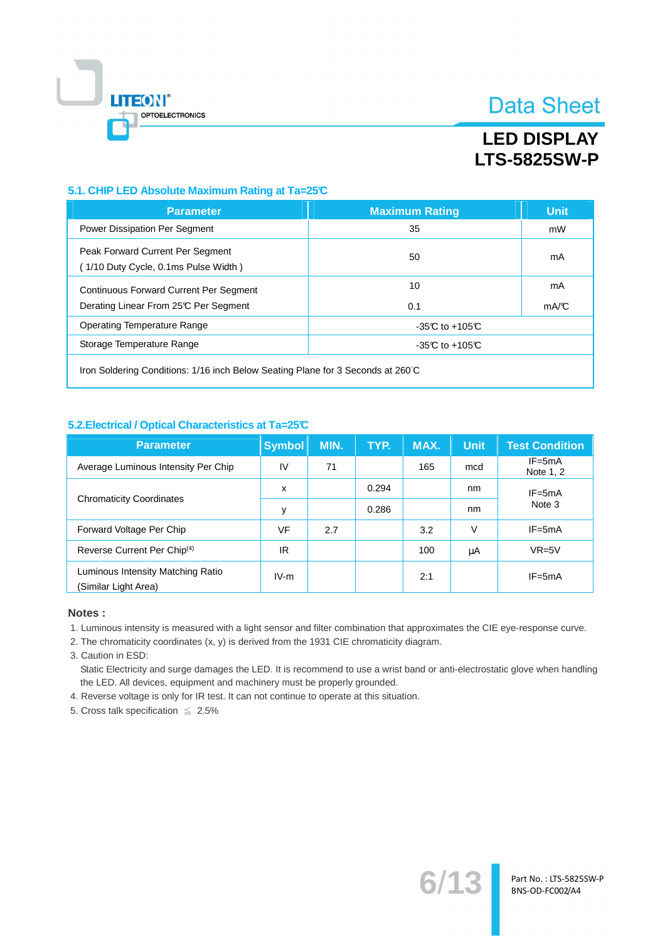

### **LED DISPLAY LTS-5825SW-P**

### 5.1. CHIP LED Absolute Maximum Rating at Ta=25°C

| <b>Parameter</b>                                                                | <b>Maximum Rating</b> | <b>Unit</b> |  |  |  |
|---------------------------------------------------------------------------------|-----------------------|-------------|--|--|--|
| <b>Power Dissipation Per Segment</b>                                            | 35                    | mW          |  |  |  |
| Peak Forward Current Per Segment<br>(1/10 Duty Cycle, 0.1ms Pulse Width)        | 50                    | mA          |  |  |  |
| <b>Continuous Forward Current Per Segment</b>                                   | 10                    | mA          |  |  |  |
| Derating Linear From 25°C Per Segment                                           | 0.1                   | mA/C        |  |  |  |
| Operating Temperature Range<br>$-35C$ to $+105C$                                |                       |             |  |  |  |
| Storage Temperature Range<br>$-35C$ to $+105C$                                  |                       |             |  |  |  |
| Iron Soldering Conditions: 1/16 inch Below Seating Plane for 3 Seconds at 260°C |                       |             |  |  |  |

#### 5.2. Electrical / Optical Characteristics at Ta=25°C

| <b>Parameter</b>                                          | <b>Symbol</b> | MIN. | TYP.  | MAX. | <b>Unit</b> | <b>Test Condition</b>   |
|-----------------------------------------------------------|---------------|------|-------|------|-------------|-------------------------|
| Average Luminous Intensity Per Chip                       | IV            | 71   |       | 165  | mcd         | $IF = 5mA$<br>Note 1, 2 |
| <b>Chromaticity Coordinates</b>                           | X             |      | 0.294 |      | nm          | $IF = 5mA$<br>Note 3    |
|                                                           | y             |      | 0.286 |      | nm          |                         |
| Forward Voltage Per Chip                                  | VF            | 2.7  |       | 3.2  | V           | $IF = 5mA$              |
| Reverse Current Per Chip <sup>(4)</sup>                   | IR            |      |       | 100  | μA          | $VR=5V$                 |
| Luminous Intensity Matching Ratio<br>(Similar Light Area) | $IV-m$        |      |       | 2:1  |             | $IF = 5mA$              |

#### Notes:

1. Luminous intensity is measured with a light sensor and filter combination that approximates the CIE eye-response curve.

2. The chromaticity coordinates (x, y) is derived from the 1931 CIE chromaticity diagram.

3. Caution in ESD:

Static Electricity and surge damages the LED. It is recommend to use a wrist band or anti-electrostatic glove when handling the LED. All devices, equipment and machinery must be properly grounded.

4. Reverse voltage is only for IR test. It can not continue to operate at this situation.

5. Cross talk specification  $\leq 2.5\%$ 

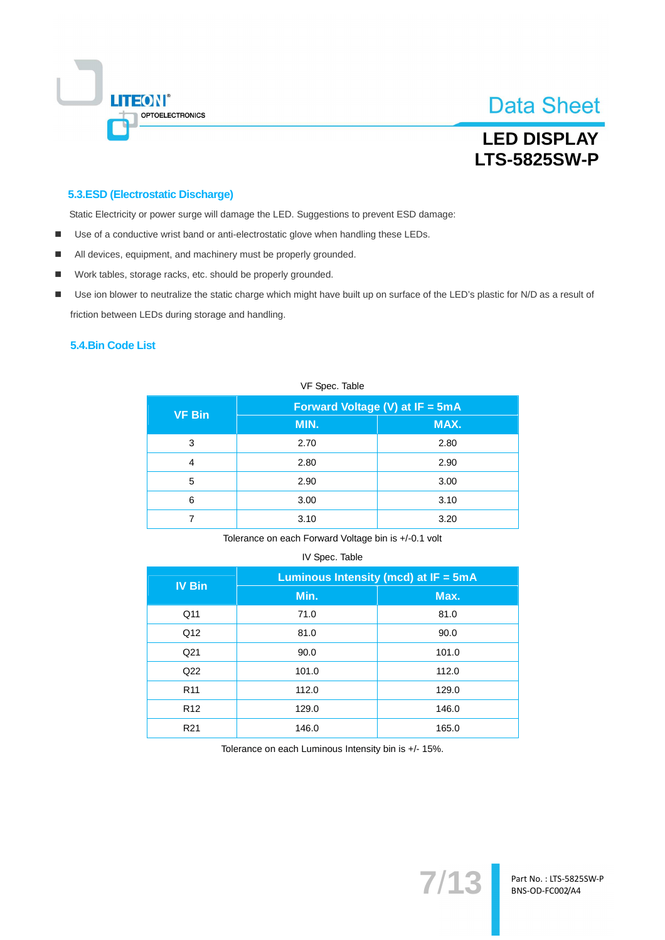

### **LED DISPLAY LTS-5825SW-P**

#### 5.3.ESD (Electrostatic Discharge)

Static Electricity or power surge will damage the LED. Suggestions to prevent ESD damage:

- Use of a conductive wrist band or anti-electrostatic glove when handling these LEDs.  $\blacksquare$
- All devices, equipment, and machinery must be properly grounded.
- Work tables, storage racks, etc. should be properly grounded.  $\blacksquare$
- Use ion blower to neutralize the static charge which might have built up on surface of the LED's plastic for N/D as a result of  $\blacksquare$ friction between LEDs during storage and handling.

#### 5.4. Bin Code List

| VF Spec. Table |                                 |  |  |  |  |
|----------------|---------------------------------|--|--|--|--|
|                |                                 |  |  |  |  |
| MIN.           | MAX.                            |  |  |  |  |
| 2.70           | 2.80                            |  |  |  |  |
| 2.80           | 2.90                            |  |  |  |  |
| 2.90           | 3.00                            |  |  |  |  |
| 3.00           | 3.10                            |  |  |  |  |
| 3.10           | 3.20                            |  |  |  |  |
|                | Forward Voltage (V) at IF = 5mA |  |  |  |  |

#### $V E$  Cose Toble

Tolerance on each Forward Voltage bin is +/-0.1 volt

#### IV Spec. Table

| <b>IV Bin</b>   | Luminous Intensity (mcd) at $IF = 5mA$ |       |  |  |
|-----------------|----------------------------------------|-------|--|--|
|                 | Min.                                   | Max.  |  |  |
| Q <sub>11</sub> | 71.0                                   | 81.0  |  |  |
| Q12             | 81.0                                   | 90.0  |  |  |
| Q <sub>21</sub> | 90.0                                   | 101.0 |  |  |
| Q22             | 101.0                                  | 112.0 |  |  |
| R <sub>11</sub> | 112.0                                  | 129.0 |  |  |
| R <sub>12</sub> | 129.0                                  | 146.0 |  |  |
| R <sub>21</sub> | 146.0                                  | 165.0 |  |  |

Tolerance on each Luminous Intensity bin is +/- 15%.

 $7/13$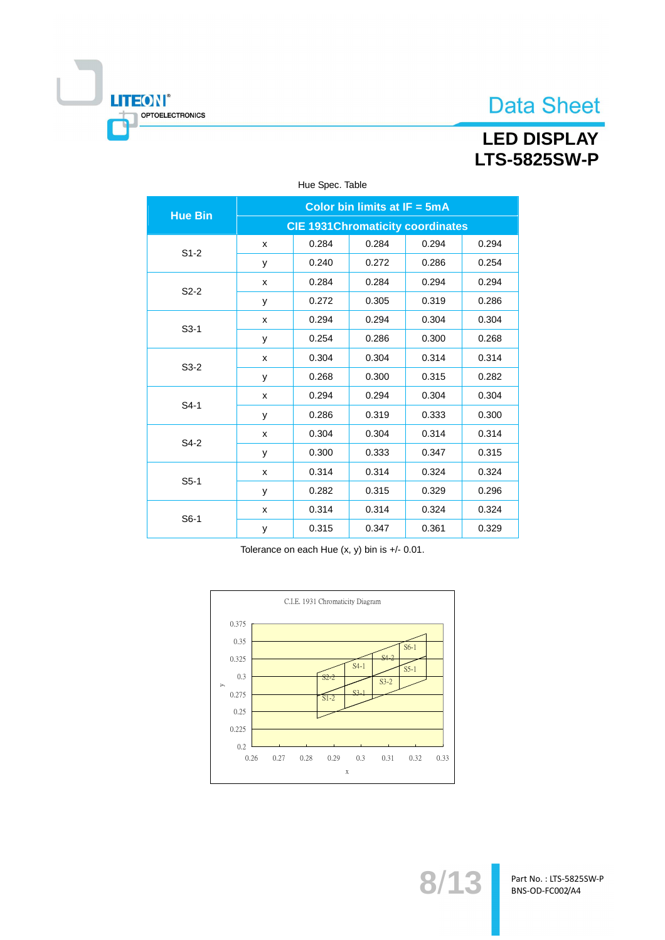**LED DISPLAY LTS-5825SW-P** 

| HOU UPUU. TUDIU |                                          |       |       |       |       |  |  |  |
|-----------------|------------------------------------------|-------|-------|-------|-------|--|--|--|
| <b>Hue Bin</b>  | Color bin limits at $IF = 5mA$           |       |       |       |       |  |  |  |
|                 | <b>CIE 1931 Chromaticity coordinates</b> |       |       |       |       |  |  |  |
| $S1-2$          | x                                        | 0.284 | 0.284 | 0.294 | 0.294 |  |  |  |
|                 | у                                        | 0.240 | 0.272 | 0.286 | 0.254 |  |  |  |
| $S2-2$          | x                                        | 0.284 | 0.284 | 0.294 | 0.294 |  |  |  |
|                 | у                                        | 0.272 | 0.305 | 0.319 | 0.286 |  |  |  |
|                 | x                                        | 0.294 | 0.294 | 0.304 | 0.304 |  |  |  |
| $S3-1$          | у                                        | 0.254 | 0.286 | 0.300 | 0.268 |  |  |  |
| $S3-2$          | x                                        | 0.304 | 0.304 | 0.314 | 0.314 |  |  |  |
|                 | у                                        | 0.268 | 0.300 | 0.315 | 0.282 |  |  |  |
| $S4-1$          | X                                        | 0.294 | 0.294 | 0.304 | 0.304 |  |  |  |
|                 | y                                        | 0.286 | 0.319 | 0.333 | 0.300 |  |  |  |
| S4-2            | x                                        | 0.304 | 0.304 | 0.314 | 0.314 |  |  |  |
|                 | у                                        | 0.300 | 0.333 | 0.347 | 0.315 |  |  |  |
| $S5-1$          | x                                        | 0.314 | 0.314 | 0.324 | 0.324 |  |  |  |
|                 | у                                        | 0.282 | 0.315 | 0.329 | 0.296 |  |  |  |
| $S6-1$          | x                                        | 0.314 | 0.314 | 0.324 | 0.324 |  |  |  |
|                 | У                                        | 0.315 | 0.347 | 0.361 | 0.329 |  |  |  |

#### Hue Spec. Table

Ī

**LITEON®** 

OPTOELECTRONICS

Tolerance on each Hue  $(x, y)$  bin is  $+/$ - 0.01.



Part No.: LTS-5825SW-P BNS-OD-FC002/A4

 $8/1$ 

 $\mathbf{u}$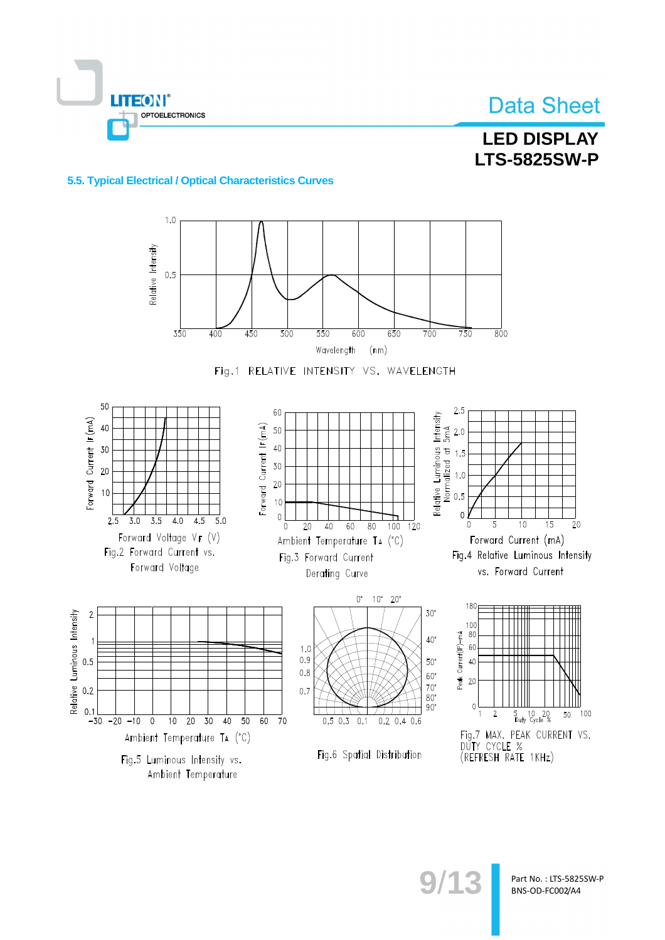

# **LED DISPLAY LTS-5825SW-P**

#### 5.5. Typical Electrical / Optical Characteristics Curves

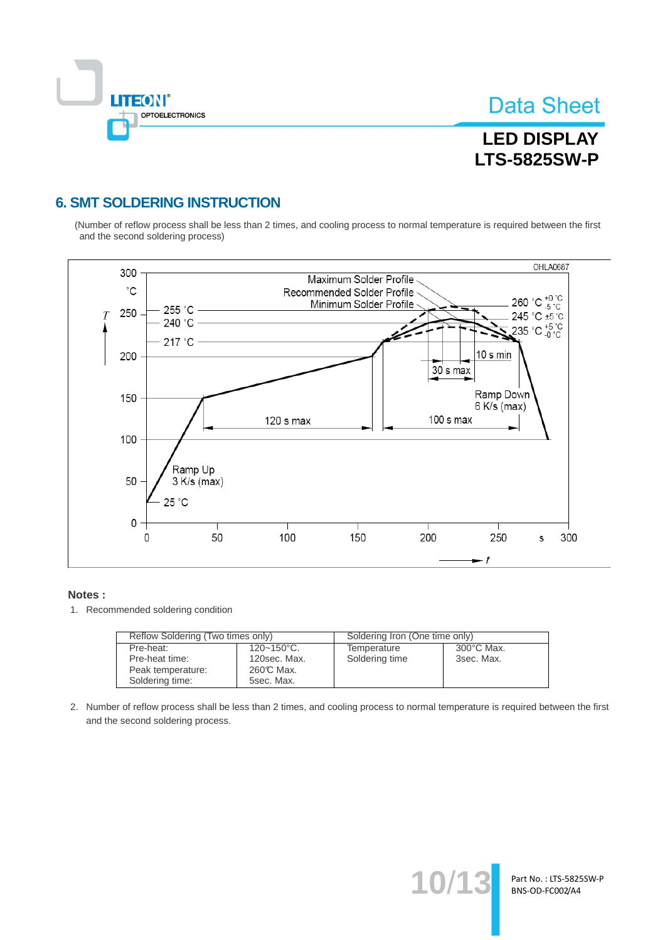

# **LED DISPLAY LTS-5825SW-P**

### **6. SMT SOLDERING INSTRUCTION**

(Number of reflow process shall be less than 2 times, and cooling process to normal temperature is required between the first and the second soldering process)



#### Notes:

1. Recommended soldering condition

| Reflow Soldering (Two times only) |                 | Soldering Iron (One time only) |            |  |
|-----------------------------------|-----------------|--------------------------------|------------|--|
| Pre-heat:                         | $120 - 150$ °C. | Temperature                    | 300°C Max. |  |
| Pre-heat time:                    | 120sec. Max.    | Soldering time                 | 3sec. Max. |  |
| Peak temperature:                 | 260℃ Max.       |                                |            |  |
| Soldering time:                   | 5sec. Max.      |                                |            |  |

2. Number of reflow process shall be less than 2 times, and cooling process to normal temperature is required between the first and the second soldering process.

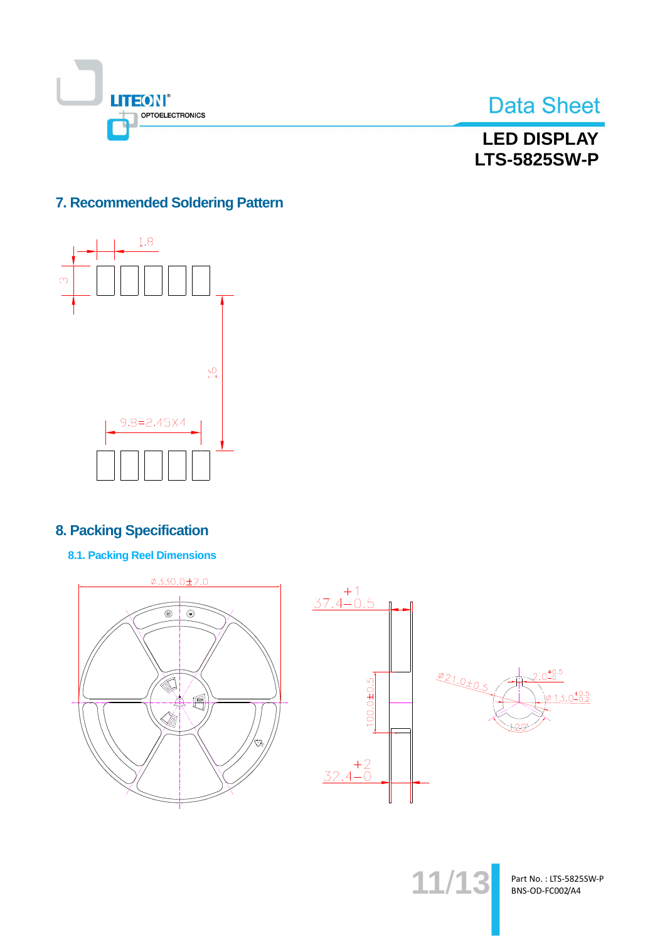



**LED DISPLAY LTS-5825SW-P** 

### 7. Recommended Soldering Pattern



### **8. Packing Specification**

**8.1. Packing Reel Dimensions** 



Part No.: LTS-5825SW-P BNS-OD-FC002/A4

 $11/1$ 

 $+0.5$ 

 $3.0^{+0.5}_{-0.2}$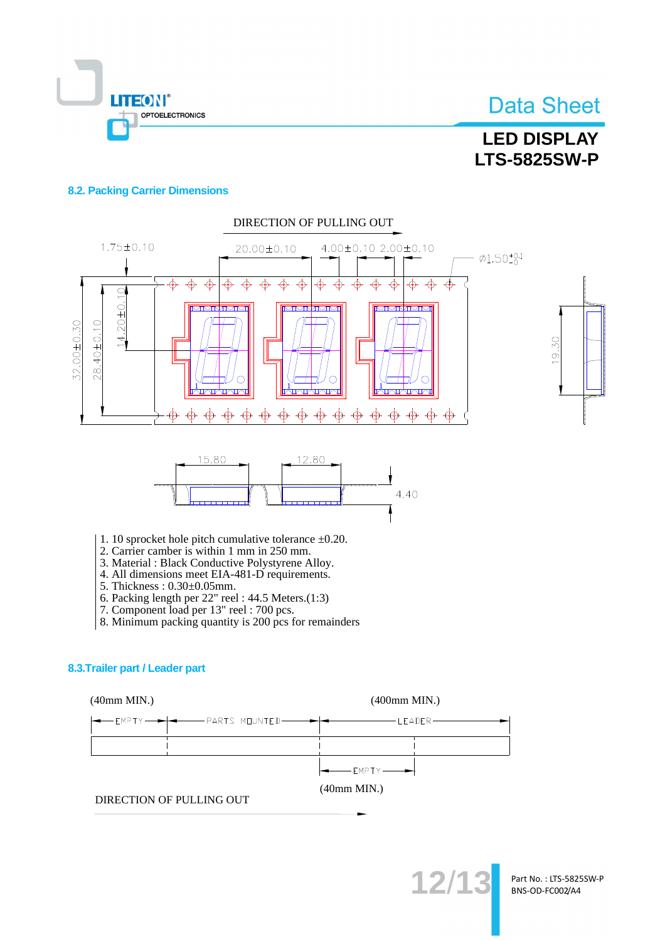

## **LED DISPLAY LTS-5825SW-P**

#### **8.2. Packing Carrier Dimensions**



- 
- 4. All dimensions meet EIA-481-D requirements.
- 5. Thickness: 0.30±0.05mm.
- 6. Packing length per  $22$ " reel:  $44.5$  Meters. $(1:3)$
- 7. Component load per 13" reel : 700 pcs.
- 8. Minimum packing quantity is 200 pcs for remainders

#### 8.3. Trailer part / Leader part

 $(40mm MIN.)$ 

 $(400$ mm MIN.)

|  | $\left  \bullet \right $ EMPTY $\left  \bullet \right $ |  |
|--|---------------------------------------------------------|--|

 $(40mm MIN.)$ 

DIRECTION OF PULLING OUT

 $12$ 

Part No.: LTS-5825SW-P BNS-OD-FC002/A4